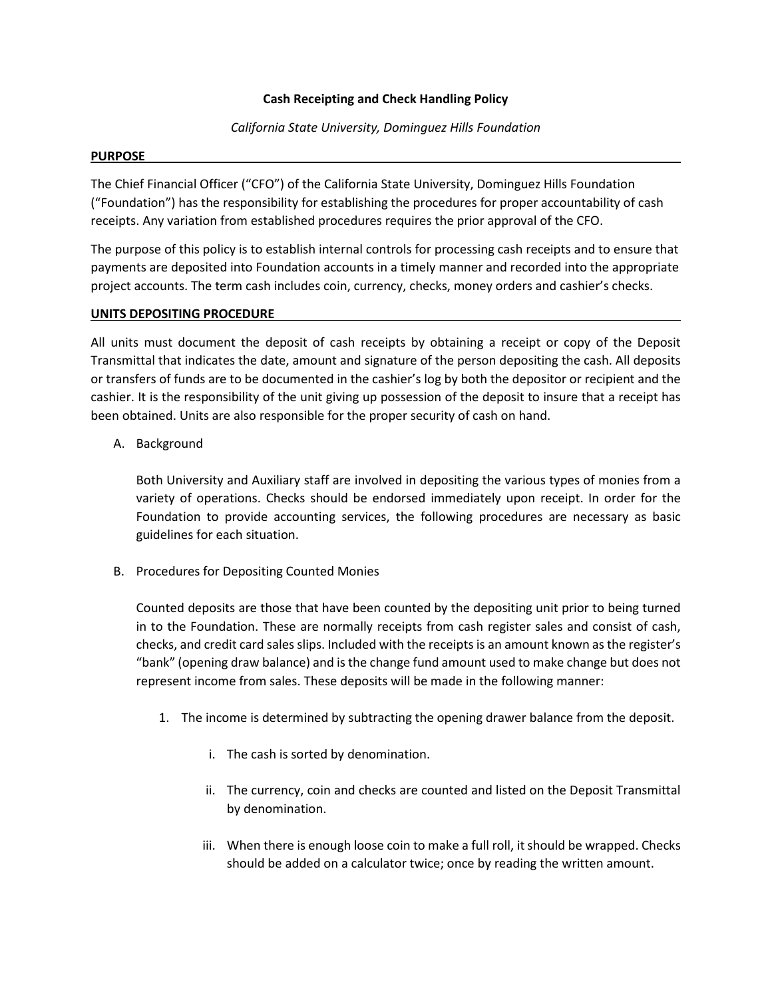# **Cash Receipting and Check Handling Policy**

*California State University, Dominguez Hills Foundation*

### **PURPOSE**

The Chief Financial Officer ("CFO") of the California State University, Dominguez Hills Foundation ("Foundation") has the responsibility for establishing the procedures for proper accountability of cash receipts. Any variation from established procedures requires the prior approval of the CFO.

The purpose of this policy is to establish internal controls for processing cash receipts and to ensure that payments are deposited into Foundation accounts in a timely manner and recorded into the appropriate project accounts. The term cash includes coin, currency, checks, money orders and cashier's checks.

### **UNITS DEPOSITING PROCEDURE**

All units must document the deposit of cash receipts by obtaining a receipt or copy of the Deposit Transmittal that indicates the date, amount and signature of the person depositing the cash. All deposits or transfers of funds are to be documented in the cashier's log by both the depositor or recipient and the cashier. It is the responsibility of the unit giving up possession of the deposit to insure that a receipt has been obtained. Units are also responsible for the proper security of cash on hand.

A. Background

Both University and Auxiliary staff are involved in depositing the various types of monies from a variety of operations. Checks should be endorsed immediately upon receipt. In order for the Foundation to provide accounting services, the following procedures are necessary as basic guidelines for each situation.

B. Procedures for Depositing Counted Monies

Counted deposits are those that have been counted by the depositing unit prior to being turned in to the Foundation. These are normally receipts from cash register sales and consist of cash, checks, and credit card sales slips. Included with the receipts is an amount known as the register's "bank" (opening draw balance) and is the change fund amount used to make change but does not represent income from sales. These deposits will be made in the following manner:

- 1. The income is determined by subtracting the opening drawer balance from the deposit.
	- i. The cash is sorted by denomination.
	- ii. The currency, coin and checks are counted and listed on the Deposit Transmittal by denomination.
	- iii. When there is enough loose coin to make a full roll, it should be wrapped. Checks should be added on a calculator twice; once by reading the written amount.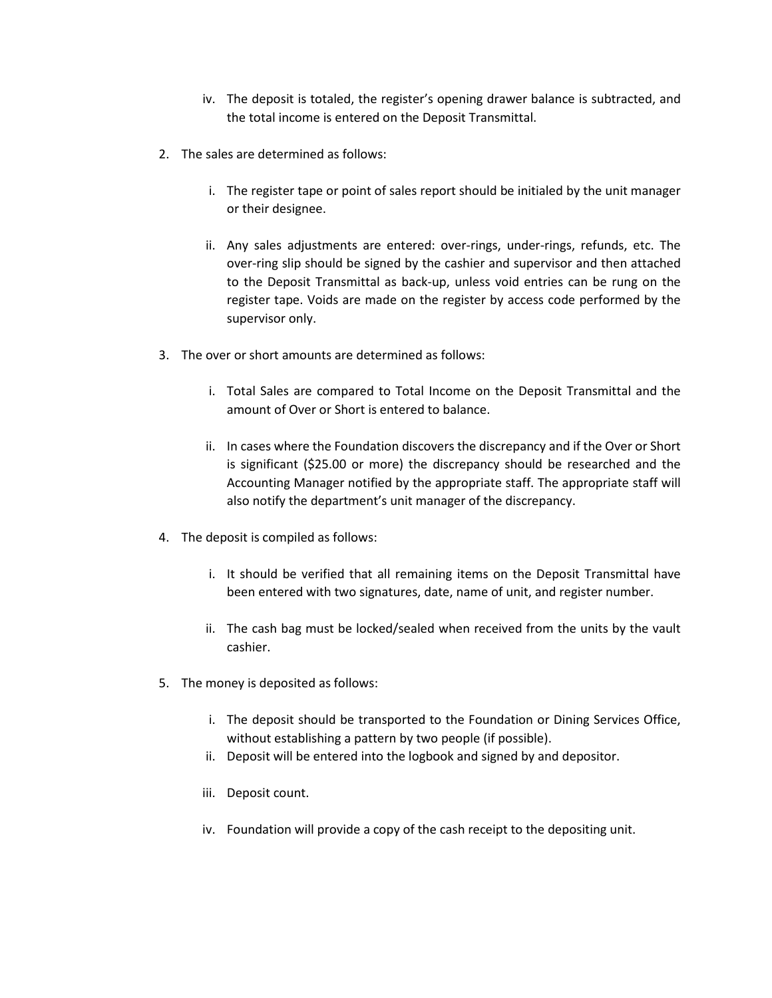- iv. The deposit is totaled, the register's opening drawer balance is subtracted, and the total income is entered on the Deposit Transmittal.
- 2. The sales are determined as follows:
	- i. The register tape or point of sales report should be initialed by the unit manager or their designee.
	- ii. Any sales adjustments are entered: over-rings, under-rings, refunds, etc. The over-ring slip should be signed by the cashier and supervisor and then attached to the Deposit Transmittal as back-up, unless void entries can be rung on the register tape. Voids are made on the register by access code performed by the supervisor only.
- 3. The over or short amounts are determined as follows:
	- i. Total Sales are compared to Total Income on the Deposit Transmittal and the amount of Over or Short is entered to balance.
	- ii. In cases where the Foundation discovers the discrepancy and if the Over or Short is significant (\$25.00 or more) the discrepancy should be researched and the Accounting Manager notified by the appropriate staff. The appropriate staff will also notify the department's unit manager of the discrepancy.
- 4. The deposit is compiled as follows:
	- i. It should be verified that all remaining items on the Deposit Transmittal have been entered with two signatures, date, name of unit, and register number.
	- ii. The cash bag must be locked/sealed when received from the units by the vault cashier.
- 5. The money is deposited as follows:
	- i. The deposit should be transported to the Foundation or Dining Services Office, without establishing a pattern by two people (if possible).
	- ii. Deposit will be entered into the logbook and signed by and depositor.
	- iii. Deposit count.
	- iv. Foundation will provide a copy of the cash receipt to the depositing unit.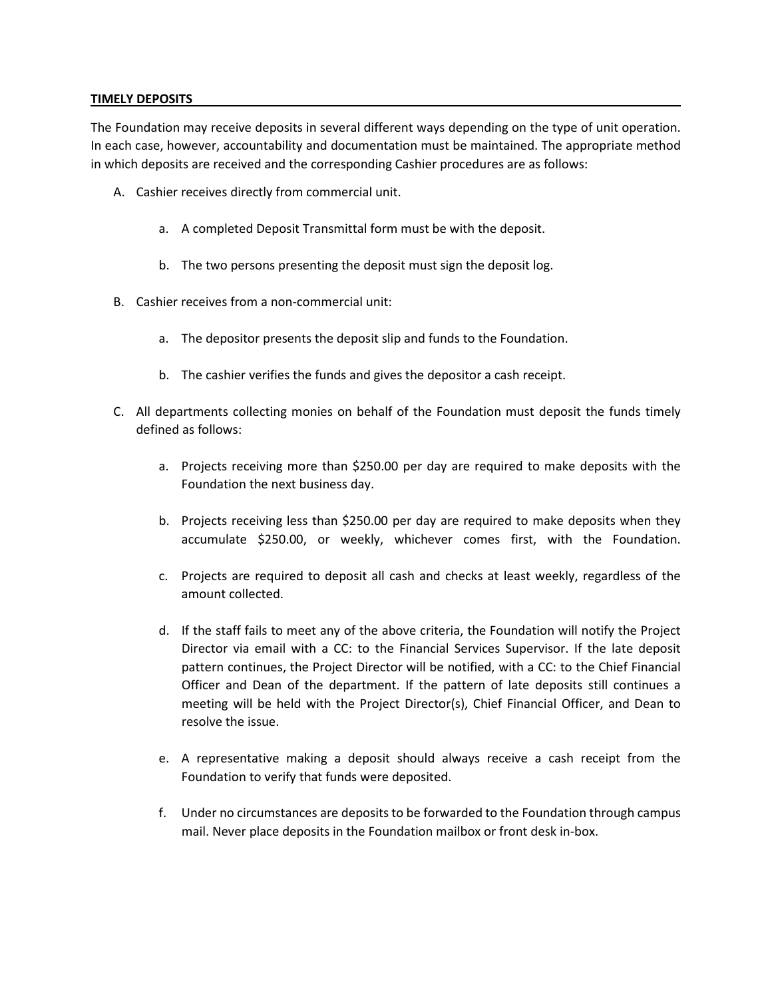### **TIMELY DEPOSITS**

The Foundation may receive deposits in several different ways depending on the type of unit operation. In each case, however, accountability and documentation must be maintained. The appropriate method in which deposits are received and the corresponding Cashier procedures are as follows:

- A. Cashier receives directly from commercial unit.
	- a. A completed Deposit Transmittal form must be with the deposit.
	- b. The two persons presenting the deposit must sign the deposit log.
- B. Cashier receives from a non-commercial unit:
	- a. The depositor presents the deposit slip and funds to the Foundation.
	- b. The cashier verifies the funds and gives the depositor a cash receipt.
- C. All departments collecting monies on behalf of the Foundation must deposit the funds timely defined as follows:
	- a. Projects receiving more than \$250.00 per day are required to make deposits with the Foundation the next business day.
	- b. Projects receiving less than \$250.00 per day are required to make deposits when they accumulate \$250.00, or weekly, whichever comes first, with the Foundation.
	- c. Projects are required to deposit all cash and checks at least weekly, regardless of the amount collected.
	- d. If the staff fails to meet any of the above criteria, the Foundation will notify the Project Director via email with a CC: to the Financial Services Supervisor. If the late deposit pattern continues, the Project Director will be notified, with a CC: to the Chief Financial Officer and Dean of the department. If the pattern of late deposits still continues a meeting will be held with the Project Director(s), Chief Financial Officer, and Dean to resolve the issue.
	- e. A representative making a deposit should always receive a cash receipt from the Foundation to verify that funds were deposited.
	- f. Under no circumstances are deposits to be forwarded to the Foundation through campus mail. Never place deposits in the Foundation mailbox or front desk in-box.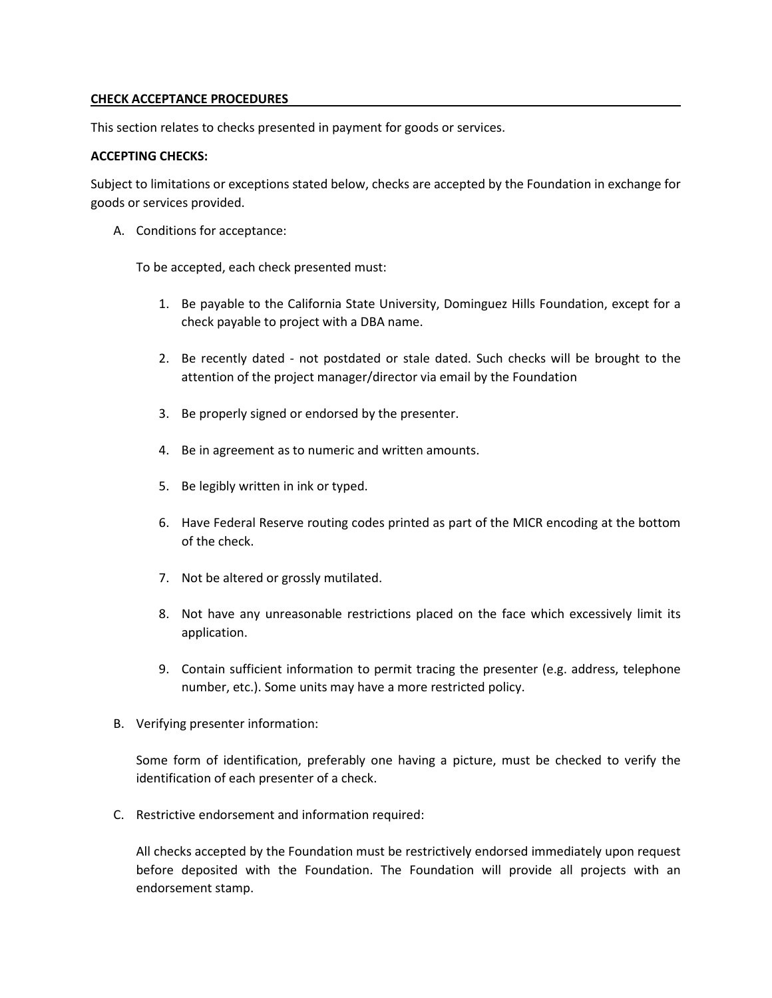## **CHECK ACCEPTANCE PROCEDURES**

This section relates to checks presented in payment for goods or services.

# **ACCEPTING CHECKS:**

Subject to limitations or exceptions stated below, checks are accepted by the Foundation in exchange for goods or services provided.

A. Conditions for acceptance:

To be accepted, each check presented must:

- 1. Be payable to the California State University, Dominguez Hills Foundation, except for a check payable to project with a DBA name.
- 2. Be recently dated not postdated or stale dated. Such checks will be brought to the attention of the project manager/director via email by the Foundation
- 3. Be properly signed or endorsed by the presenter.
- 4. Be in agreement as to numeric and written amounts.
- 5. Be legibly written in ink or typed.
- 6. Have Federal Reserve routing codes printed as part of the MICR encoding at the bottom of the check.
- 7. Not be altered or grossly mutilated.
- 8. Not have any unreasonable restrictions placed on the face which excessively limit its application.
- 9. Contain sufficient information to permit tracing the presenter (e.g. address, telephone number, etc.). Some units may have a more restricted policy.
- B. Verifying presenter information:

Some form of identification, preferably one having a picture, must be checked to verify the identification of each presenter of a check.

C. Restrictive endorsement and information required:

All checks accepted by the Foundation must be restrictively endorsed immediately upon request before deposited with the Foundation. The Foundation will provide all projects with an endorsement stamp.